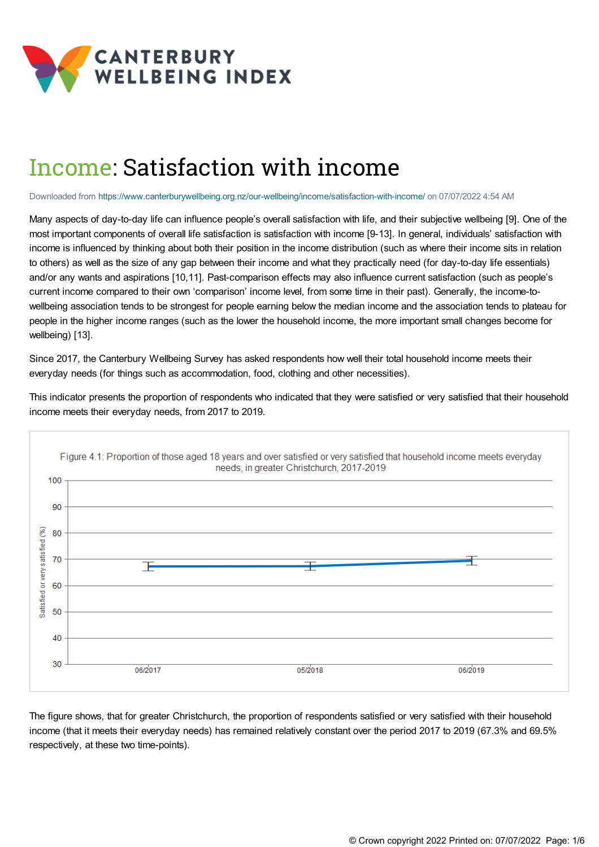

# Income: Satisfaction with income

Downloaded from <https://www.canterburywellbeing.org.nz/our-wellbeing/income/satisfaction-with-income/> on 07/07/2022 4:54 AM

Many aspects of day-to-day life can influence people's overall satisfaction with life, and their subjective wellbeing [9]. One of the most important components of overall life satisfaction is satisfaction with income [9-13]. In general, individuals' satisfaction with income is influenced by thinking about both their position in the income distribution (such as where their income sits in relation to others) as well as the size of any gap between their income and what they practically need (for day-to-day life essentials) and/or any wants and aspirations [10,11]. Past-comparison effects may also influence current satisfaction (such as people's current income compared to their own 'comparison' income level, from some time in their past). Generally, the income-towellbeing association tends to be strongest for people earning below the median income and the association tends to plateau for people in the higher income ranges (such as the lower the household income, the more important small changes become for wellbeing) [13].

Since 2017, the Canterbury Wellbeing Survey has asked respondents how well their total household income meets their everyday needs (for things such as accommodation, food, clothing and other necessities).

This indicator presents the proportion of respondents who indicated that they were satisfied or very satisfied that their household income meets their everyday needs, from 2017 to 2019.



The figure shows, that for greater Christchurch, the proportion of respondents satisfied or very satisfied with their household income (that it meets their everyday needs) has remained relatively constant over the period 2017 to 2019 (67.3% and 69.5% respectively, at these two time-points).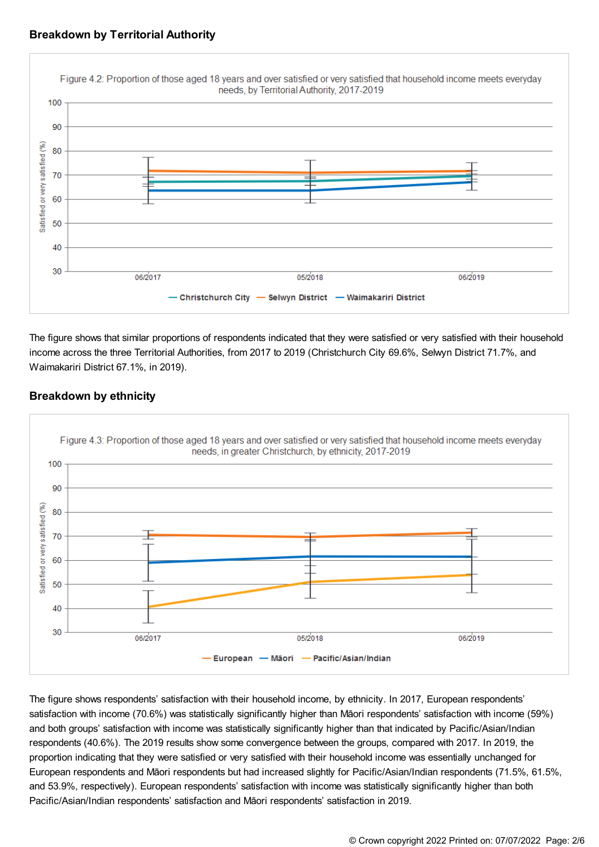



The figure shows that similar proportions of respondents indicated that they were satisfied or very satisfied with their household income across the three Territorial Authorities, from 2017 to 2019 (Christchurch City 69.6%, Selwyn District 71.7%, and Waimakariri District 67.1%, in 2019).



# **Breakdown by ethnicity**

The figure shows respondents' satisfaction with their household income, by ethnicity. In 2017, European respondents' satisfaction with income (70.6%) was statistically significantly higher than Māori respondents' satisfaction with income (59%) and both groups' satisfaction with income was statistically significantly higher than that indicated by Pacific/Asian/Indian respondents (40.6%). The 2019 results show some convergence between the groups, compared with 2017. In 2019, the proportion indicating that they were satisfied or very satisfied with their household income was essentially unchanged for European respondents and Māori respondents but had increased slightly for Pacific/Asian/Indian respondents (71.5%, 61.5%, and 53.9%, respectively). European respondents' satisfaction with income was statistically significantly higher than both Pacific/Asian/Indian respondents' satisfaction and Māori respondents' satisfaction in 2019.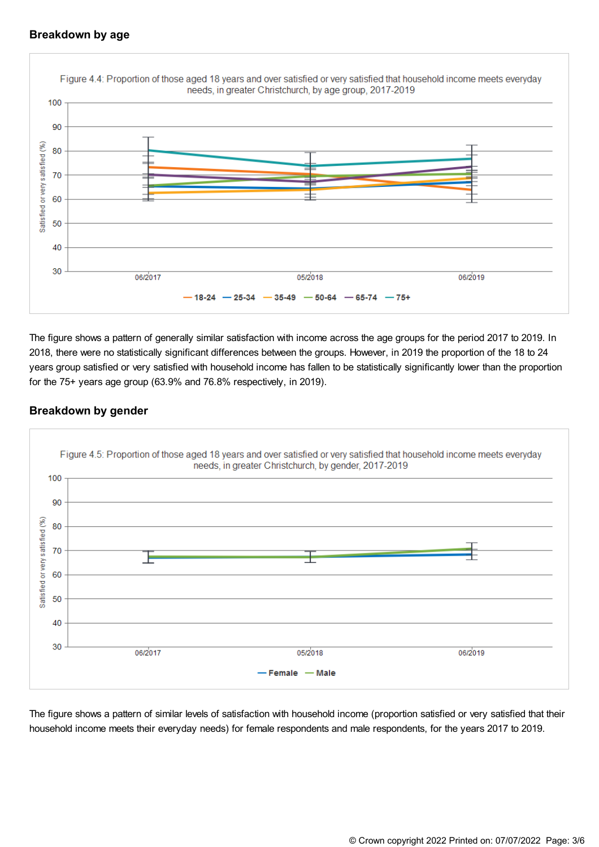# **Breakdown by age**



The figure shows a pattern of generally similar satisfaction with income across the age groups for the period 2017 to 2019. In 2018, there were no statistically significant differences between the groups. However, in 2019 the proportion of the 18 to 24 years group satisfied or very satisfied with household income has fallen to be statistically significantly lower than the proportion for the 75+ years age group (63.9% and 76.8% respectively, in 2019).

## **Breakdown by gender**



The figure shows a pattern of similar levels of satisfaction with household income (proportion satisfied or very satisfied that their household income meets their everyday needs) for female respondents and male respondents, for the years 2017 to 2019.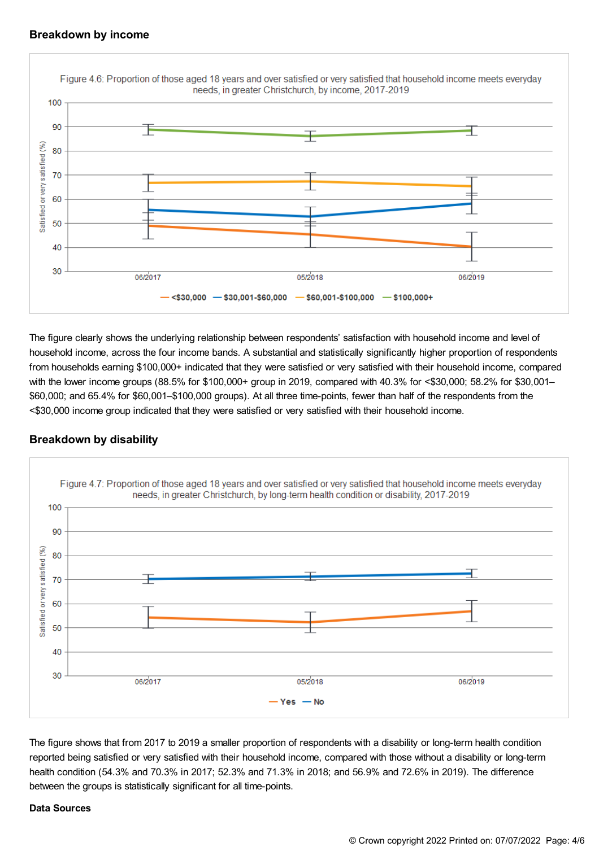#### **Breakdown by income**



The figure clearly shows the underlying relationship between respondents' satisfaction with household income and level of household income, across the four income bands. A substantial and statistically significantly higher proportion of respondents from households earning \$100,000+ indicated that they were satisfied or very satisfied with their household income, compared with the lower income groups (88.5% for \$100,000+ group in 2019, compared with 40.3% for <\$30,000; 58.2% for \$30,001– \$60,000; and 65.4% for \$60,001–\$100,000 groups). At all three time-points, fewer than half of the respondents from the <\$30,000 income group indicated that they were satisfied or very satisfied with their household income.

## **Breakdown by disability**



The figure shows that from 2017 to 2019 a smaller proportion of respondents with a disability or long-term health condition reported being satisfied or very satisfied with their household income, compared with those without a disability or long-term health condition (54.3% and 70.3% in 2017; 52.3% and 71.3% in 2018; and 56.9% and 72.6% in 2019). The difference between the groups is statistically significant for all time-points.

#### **Data Sources**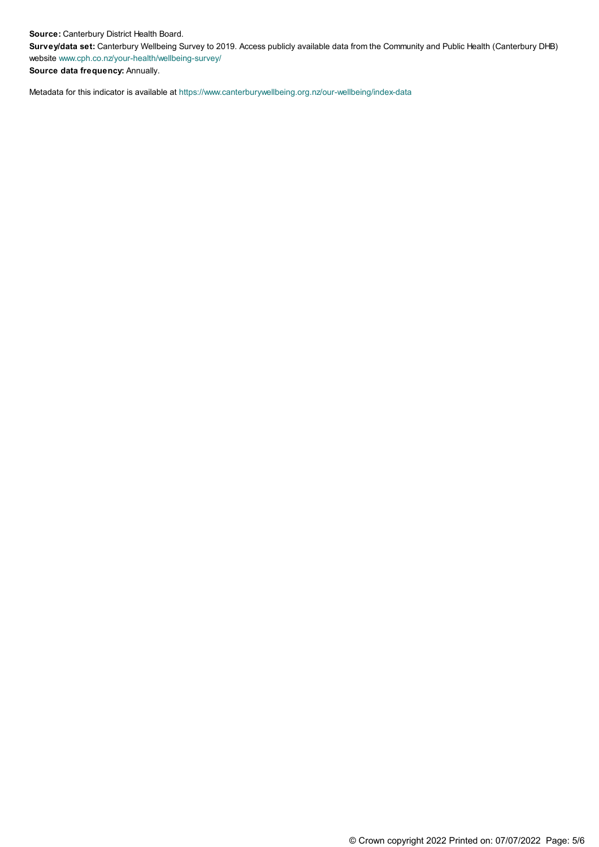**Source:** Canterbury District Health Board.

**Survey/data set:** Canterbury Wellbeing Survey to 2019. Access publicly available data from the Community and Public Health (Canterbury DHB) website [www.cph.co.nz/your-health/wellbeing-survey/](https://www.cph.co.nz/your-health/wellbeing-survey/)

**Source data frequency:** Annually.

Metadata for this indicator is available at [https://www.canterburywellbeing.org.nz/our-wellbeing/index-data](https://www.canterburywellbeing.org.nz/our-wellbeing/site-information/index-data)